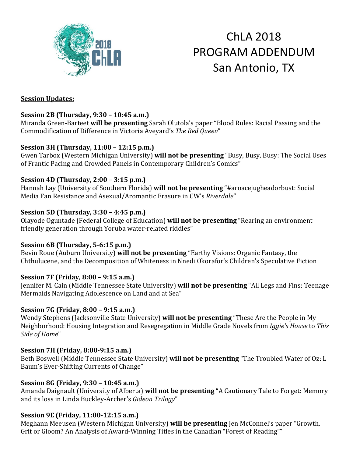

# ChLA 2018 PROGRAM ADDENDUM San Antonio, TX

#### **Session Updates:**

## **Session 2B (Thursday, 9:30 – 10:45 a.m.)**

Miranda Green-Barteet **will be presenting** Sarah Olutola's paper "Blood Rules: Racial Passing and the Commodification of Difference in Victoria Aveyard's *The Red Queen*"

## **Session 3H (Thursday, 11:00 – 12:15 p.m.)**

Gwen Tarbox (Western Michigan University) **will not be presenting** "Busy, Busy, Busy: The Social Uses of Frantic Pacing and Crowded Panels in Contemporary Children's Comics"

## **Session 4D (Thursday, 2:00 – 3:15 p.m.)**

Hannah Lay (University of Southern Florida) **will not be presenting** "#aroacejugheadorbust: Social Media Fan Resistance and Asexual/Aromantic Erasure in CW's *Riverdale*"

## **Session 5D (Thursday, 3:30 – 4:45 p.m.)**

Olayode Oguntade (Federal College of Education) **will not be presenting** "Rearing an environment friendly generation through Yoruba water-related riddles"

## **Session 6B (Thursday, 5-6:15 p.m.)**

Bevin Roue (Auburn University) **will not be presenting** "Earthy Visions: Organic Fantasy, the Chthulucene, and the Decomposition of Whiteness in Nnedi Okorafor's Children's Speculative Fiction

## **Session 7F (Friday, 8:00 – 9:15 a.m.)**

Jennifer M. Cain (Middle Tennessee State University) **will not be presenting** "All Legs and Fins: Teenage Mermaids Navigating Adolescence on Land and at Sea"

## **Session 7G (Friday, 8:00 – 9:15 a.m.)**

Wendy Stephens (Jacksonville State University) **will not be presenting** "These Are the People in My Neighborhood: Housing Integration and Resegregation in Middle Grade Novels from *Iggie's House* to *This Side of Home*"

## **Session 7H (Friday, 8:00-9:15 a.m.)**

Beth Boswell (Middle Tennessee State University) **will not be presenting** "The Troubled Water of Oz: L Baum's Ever-Shifting Currents of Change"

## **Session 8G (Friday, 9:30 – 10:45 a.m.)**

Amanda Daignault (University of Alberta) **will not be presenting** "A Cautionary Tale to Forget: Memory and its loss in Linda Buckley-Archer's *Gideon Trilogy*"

## **Session 9E (Friday, 11:00-12:15 a.m.)**

Meghann Meeusen (Western Michigan University) **will be presenting** Jen McConnel's paper "Growth, Grit or Gloom? An Analysis of Award-Winning Titles in the Canadian "Forest of Reading""